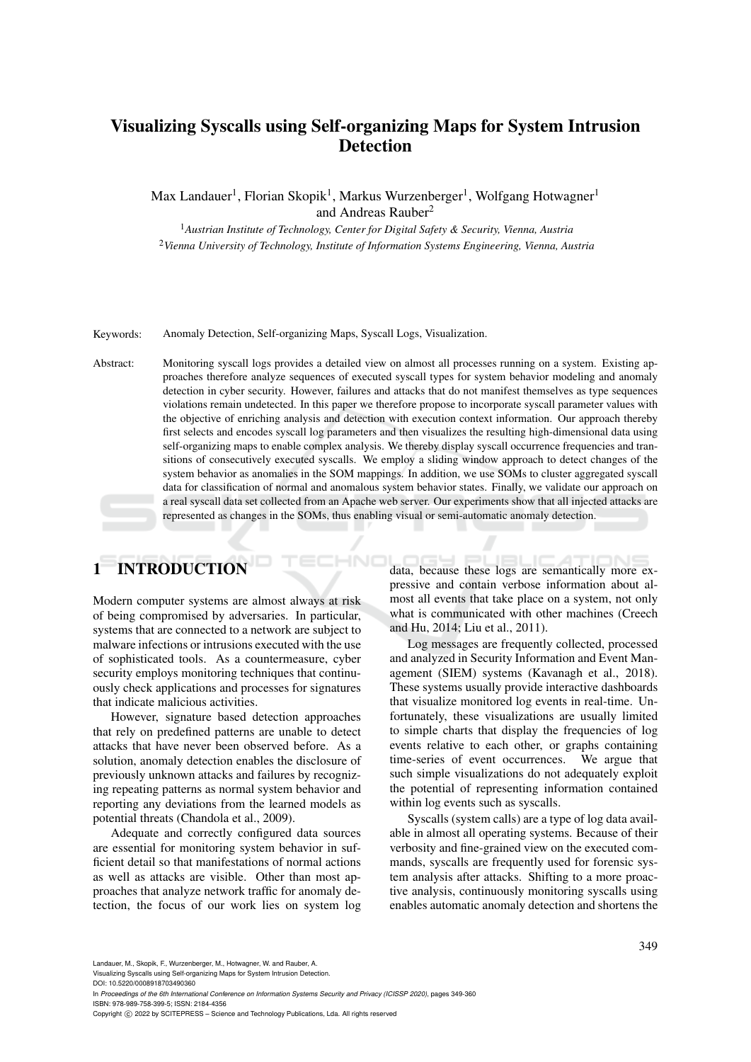## Visualizing Syscalls using Self-organizing Maps for System Intrusion Detection

Max Landauer<sup>1</sup>, Florian Skopik<sup>1</sup>, Markus Wurzenberger<sup>1</sup>, Wolfgang Hotwagner<sup>1</sup> and Andreas Rauber<sup>2</sup>

<sup>1</sup>*Austrian Institute of Technology, Center for Digital Safety & Security, Vienna, Austria* <sup>2</sup>*Vienna University of Technology, Institute of Information Systems Engineering, Vienna, Austria*

Keywords: Anomaly Detection, Self-organizing Maps, Syscall Logs, Visualization.

Abstract: Monitoring syscall logs provides a detailed view on almost all processes running on a system. Existing approaches therefore analyze sequences of executed syscall types for system behavior modeling and anomaly detection in cyber security. However, failures and attacks that do not manifest themselves as type sequences violations remain undetected. In this paper we therefore propose to incorporate syscall parameter values with the objective of enriching analysis and detection with execution context information. Our approach thereby first selects and encodes syscall log parameters and then visualizes the resulting high-dimensional data using self-organizing maps to enable complex analysis. We thereby display syscall occurrence frequencies and transitions of consecutively executed syscalls. We employ a sliding window approach to detect changes of the system behavior as anomalies in the SOM mappings. In addition, we use SOMs to cluster aggregated syscall data for classification of normal and anomalous system behavior states. Finally, we validate our approach on a real syscall data set collected from an Apache web server. Our experiments show that all injected attacks are represented as changes in the SOMs, thus enabling visual or semi-automatic anomaly detection.

# 1 INTRODUCTION

Modern computer systems are almost always at risk of being compromised by adversaries. In particular, systems that are connected to a network are subject to malware infections or intrusions executed with the use of sophisticated tools. As a countermeasure, cyber security employs monitoring techniques that continuously check applications and processes for signatures that indicate malicious activities.

However, signature based detection approaches that rely on predefined patterns are unable to detect attacks that have never been observed before. As a solution, anomaly detection enables the disclosure of previously unknown attacks and failures by recognizing repeating patterns as normal system behavior and reporting any deviations from the learned models as potential threats (Chandola et al., 2009).

Adequate and correctly configured data sources are essential for monitoring system behavior in sufficient detail so that manifestations of normal actions as well as attacks are visible. Other than most approaches that analyze network traffic for anomaly detection, the focus of our work lies on system log

data, because these logs are semantically more expressive and contain verbose information about almost all events that take place on a system, not only what is communicated with other machines (Creech and Hu, 2014; Liu et al., 2011).

Log messages are frequently collected, processed and analyzed in Security Information and Event Management (SIEM) systems (Kavanagh et al., 2018). These systems usually provide interactive dashboards that visualize monitored log events in real-time. Unfortunately, these visualizations are usually limited to simple charts that display the frequencies of log events relative to each other, or graphs containing time-series of event occurrences. We argue that such simple visualizations do not adequately exploit the potential of representing information contained within log events such as syscalls.

Syscalls (system calls) are a type of log data available in almost all operating systems. Because of their verbosity and fine-grained view on the executed commands, syscalls are frequently used for forensic system analysis after attacks. Shifting to a more proactive analysis, continuously monitoring syscalls using enables automatic anomaly detection and shortens the

Landauer, M., Skopik, F., Wurzenberger, M., Hotwagner, W. and Rauber, A.

Visualizing Syscalls using Self-organizing Maps for System Intrusion Detection.

DOI: 10.5220/0008918703490360

In *Proceedings of the 6th International Conference on Information Systems Security and Privacy (ICISSP 2020)*, pages 349-360 ISBN: 978-989-758-399-5; ISSN: 2184-4356

Copyright (C) 2022 by SCITEPRESS - Science and Technology Publications, Lda. All rights reserved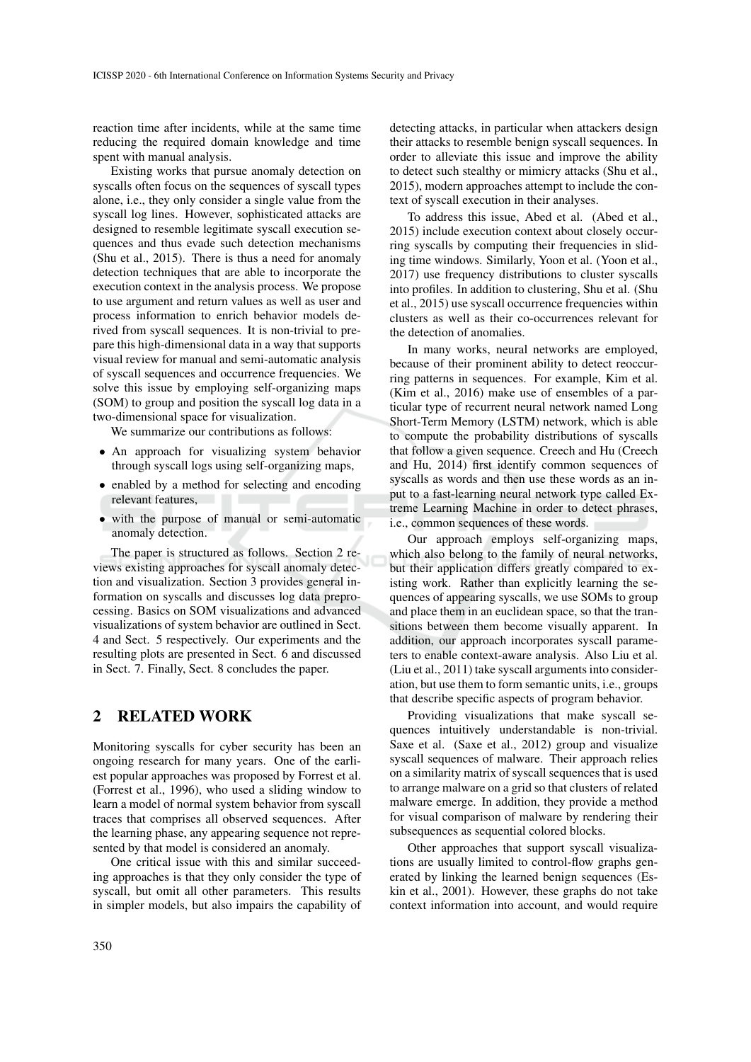reaction time after incidents, while at the same time reducing the required domain knowledge and time spent with manual analysis.

Existing works that pursue anomaly detection on syscalls often focus on the sequences of syscall types alone, i.e., they only consider a single value from the syscall log lines. However, sophisticated attacks are designed to resemble legitimate syscall execution sequences and thus evade such detection mechanisms (Shu et al., 2015). There is thus a need for anomaly detection techniques that are able to incorporate the execution context in the analysis process. We propose to use argument and return values as well as user and process information to enrich behavior models derived from syscall sequences. It is non-trivial to prepare this high-dimensional data in a way that supports visual review for manual and semi-automatic analysis of syscall sequences and occurrence frequencies. We solve this issue by employing self-organizing maps (SOM) to group and position the syscall log data in a two-dimensional space for visualization.

We summarize our contributions as follows:

- An approach for visualizing system behavior through syscall logs using self-organizing maps,
- enabled by a method for selecting and encoding relevant features,
- with the purpose of manual or semi-automatic anomaly detection.

The paper is structured as follows. Section 2 reviews existing approaches for syscall anomaly detection and visualization. Section 3 provides general information on syscalls and discusses log data preprocessing. Basics on SOM visualizations and advanced visualizations of system behavior are outlined in Sect. 4 and Sect. 5 respectively. Our experiments and the resulting plots are presented in Sect. 6 and discussed in Sect. 7. Finally, Sect. 8 concludes the paper.

## 2 RELATED WORK

Monitoring syscalls for cyber security has been an ongoing research for many years. One of the earliest popular approaches was proposed by Forrest et al. (Forrest et al., 1996), who used a sliding window to learn a model of normal system behavior from syscall traces that comprises all observed sequences. After the learning phase, any appearing sequence not represented by that model is considered an anomaly.

One critical issue with this and similar succeeding approaches is that they only consider the type of syscall, but omit all other parameters. This results in simpler models, but also impairs the capability of detecting attacks, in particular when attackers design their attacks to resemble benign syscall sequences. In order to alleviate this issue and improve the ability to detect such stealthy or mimicry attacks (Shu et al., 2015), modern approaches attempt to include the context of syscall execution in their analyses.

To address this issue, Abed et al. (Abed et al., 2015) include execution context about closely occurring syscalls by computing their frequencies in sliding time windows. Similarly, Yoon et al. (Yoon et al., 2017) use frequency distributions to cluster syscalls into profiles. In addition to clustering, Shu et al. (Shu et al., 2015) use syscall occurrence frequencies within clusters as well as their co-occurrences relevant for the detection of anomalies.

In many works, neural networks are employed, because of their prominent ability to detect reoccurring patterns in sequences. For example, Kim et al. (Kim et al., 2016) make use of ensembles of a particular type of recurrent neural network named Long Short-Term Memory (LSTM) network, which is able to compute the probability distributions of syscalls that follow a given sequence. Creech and Hu (Creech and Hu, 2014) first identify common sequences of syscalls as words and then use these words as an input to a fast-learning neural network type called Extreme Learning Machine in order to detect phrases, i.e., common sequences of these words.

Our approach employs self-organizing maps, which also belong to the family of neural networks, but their application differs greatly compared to existing work. Rather than explicitly learning the sequences of appearing syscalls, we use SOMs to group and place them in an euclidean space, so that the transitions between them become visually apparent. In addition, our approach incorporates syscall parameters to enable context-aware analysis. Also Liu et al. (Liu et al., 2011) take syscall arguments into consideration, but use them to form semantic units, i.e., groups that describe specific aspects of program behavior.

Providing visualizations that make syscall sequences intuitively understandable is non-trivial. Saxe et al. (Saxe et al., 2012) group and visualize syscall sequences of malware. Their approach relies on a similarity matrix of syscall sequences that is used to arrange malware on a grid so that clusters of related malware emerge. In addition, they provide a method for visual comparison of malware by rendering their subsequences as sequential colored blocks.

Other approaches that support syscall visualizations are usually limited to control-flow graphs generated by linking the learned benign sequences (Eskin et al., 2001). However, these graphs do not take context information into account, and would require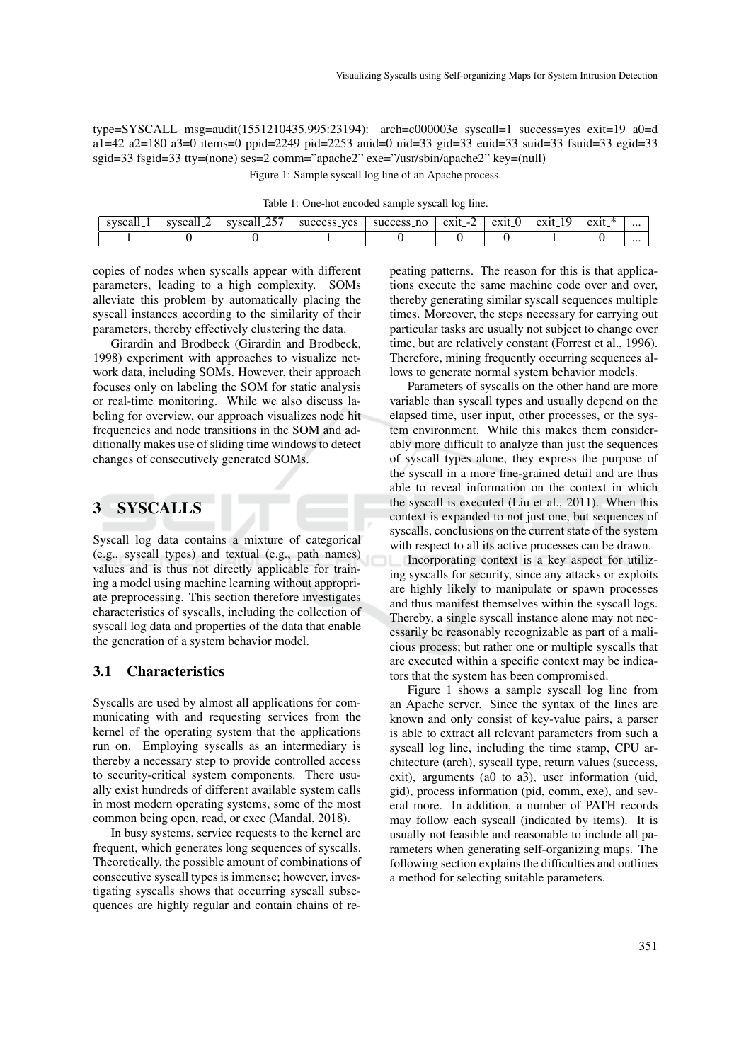type=SYSCALL msg=audit(1551210435.995:23194): arch=c000003e syscall=1 success=yes exit=19 a0=d a1=42 a2=180 a3=0 items=0 ppid=2249 pid=2253 auid=0 uid=33 gid=33 euid=33 suid=33 fsuid=33 egid=33 sgid=33 fsgid=33 tty=(none) ses=2 comm="apache2" exe="/usr/sbin/apache2" key=(null) Figure 1: Sample syscall log line of an Apache process.

| Table 1: One-hot encoded sample syscall log line. |  |  |
|---------------------------------------------------|--|--|
|---------------------------------------------------|--|--|

| svscal | CUCCO | $\Delta$ $\epsilon$ $\pi$<br>syscali | <b>ves</b><br>Success_ | -no<br>000<br>suc<br>æss | exit<br>$\sim$ | $\Delta$ V <sub>1</sub> | $\sim$<br>$\mathbf{a} \mathbf{v}$ 1 | $\mathbf{A}$<br>$ext{ext}$<br>$\sim$ | $\cdots$ |
|--------|-------|--------------------------------------|------------------------|--------------------------|----------------|-------------------------|-------------------------------------|--------------------------------------|----------|
|        |       |                                      |                        |                          |                |                         |                                     |                                      | $\cdots$ |

copies of nodes when syscalls appear with different parameters, leading to a high complexity. SOMs alleviate this problem by automatically placing the syscall instances according to the similarity of their parameters, thereby effectively clustering the data.

Girardin and Brodbeck (Girardin and Brodbeck, 1998) experiment with approaches to visualize network data, including SOMs. However, their approach focuses only on labeling the SOM for static analysis or real-time monitoring. While we also discuss labeling for overview, our approach visualizes node hit frequencies and node transitions in the SOM and additionally makes use of sliding time windows to detect changes of consecutively generated SOMs.

## 3 SYSCALLS

Syscall log data contains a mixture of categorical (e.g., syscall types) and textual (e.g., path names) values and is thus not directly applicable for training a model using machine learning without appropriate preprocessing. This section therefore investigates characteristics of syscalls, including the collection of syscall log data and properties of the data that enable the generation of a system behavior model.

#### 3.1 Characteristics

Syscalls are used by almost all applications for communicating with and requesting services from the kernel of the operating system that the applications run on. Employing syscalls as an intermediary is thereby a necessary step to provide controlled access to security-critical system components. There usually exist hundreds of different available system calls in most modern operating systems, some of the most common being open, read, or exec (Mandal, 2018).

In busy systems, service requests to the kernel are frequent, which generates long sequences of syscalls. Theoretically, the possible amount of combinations of consecutive syscall types is immense; however, investigating syscalls shows that occurring syscall subsequences are highly regular and contain chains of repeating patterns. The reason for this is that applications execute the same machine code over and over, thereby generating similar syscall sequences multiple times. Moreover, the steps necessary for carrying out particular tasks are usually not subject to change over time, but are relatively constant (Forrest et al., 1996). Therefore, mining frequently occurring sequences allows to generate normal system behavior models.

Parameters of syscalls on the other hand are more variable than syscall types and usually depend on the elapsed time, user input, other processes, or the system environment. While this makes them considerably more difficult to analyze than just the sequences of syscall types alone, they express the purpose of the syscall in a more fine-grained detail and are thus able to reveal information on the context in which the syscall is executed (Liu et al., 2011). When this context is expanded to not just one, but sequences of syscalls, conclusions on the current state of the system with respect to all its active processes can be drawn.

Incorporating context is a key aspect for utilizing syscalls for security, since any attacks or exploits are highly likely to manipulate or spawn processes and thus manifest themselves within the syscall logs. Thereby, a single syscall instance alone may not necessarily be reasonably recognizable as part of a malicious process; but rather one or multiple syscalls that are executed within a specific context may be indicators that the system has been compromised.

Figure 1 shows a sample syscall log line from an Apache server. Since the syntax of the lines are known and only consist of key-value pairs, a parser is able to extract all relevant parameters from such a syscall log line, including the time stamp, CPU architecture (arch), syscall type, return values (success, exit), arguments (a0 to a3), user information (uid, gid), process information (pid, comm, exe), and several more. In addition, a number of PATH records may follow each syscall (indicated by items). It is usually not feasible and reasonable to include all parameters when generating self-organizing maps. The following section explains the difficulties and outlines a method for selecting suitable parameters.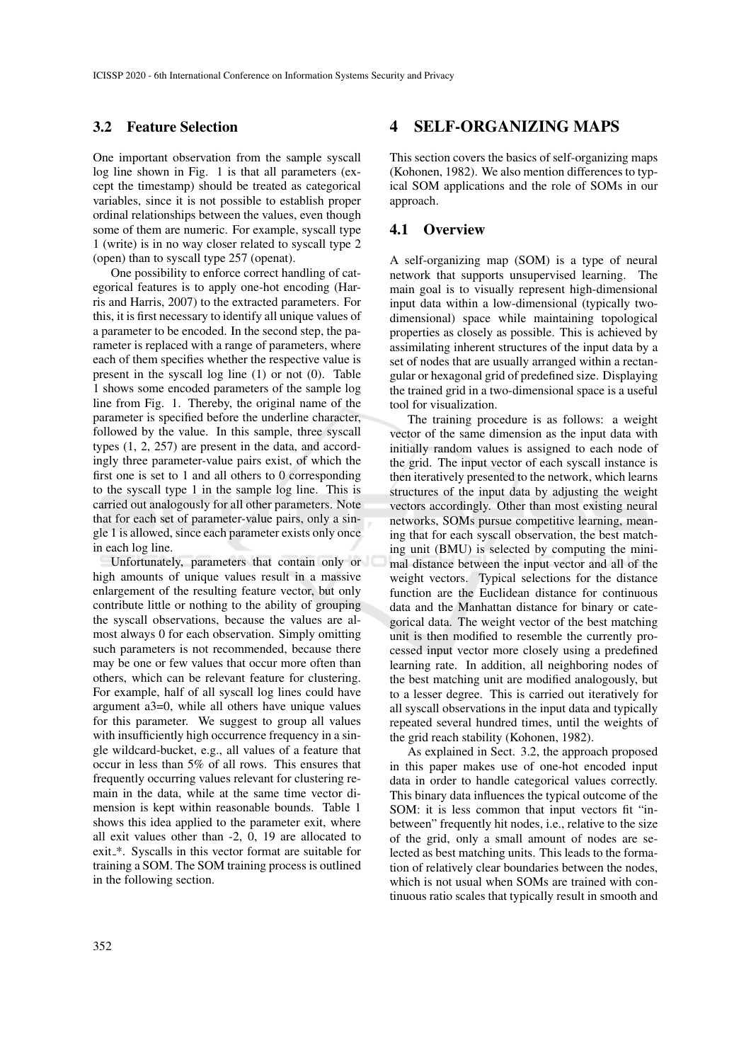#### 3.2 Feature Selection

One important observation from the sample syscall log line shown in Fig. 1 is that all parameters (except the timestamp) should be treated as categorical variables, since it is not possible to establish proper ordinal relationships between the values, even though some of them are numeric. For example, syscall type 1 (write) is in no way closer related to syscall type 2 (open) than to syscall type 257 (openat).

One possibility to enforce correct handling of categorical features is to apply one-hot encoding (Harris and Harris, 2007) to the extracted parameters. For this, it is first necessary to identify all unique values of a parameter to be encoded. In the second step, the parameter is replaced with a range of parameters, where each of them specifies whether the respective value is present in the syscall log line (1) or not (0). Table 1 shows some encoded parameters of the sample log line from Fig. 1. Thereby, the original name of the parameter is specified before the underline character, followed by the value. In this sample, three syscall types (1, 2, 257) are present in the data, and accordingly three parameter-value pairs exist, of which the first one is set to 1 and all others to 0 corresponding to the syscall type 1 in the sample log line. This is carried out analogously for all other parameters. Note that for each set of parameter-value pairs, only a single 1 is allowed, since each parameter exists only once in each log line.

Unfortunately, parameters that contain only or high amounts of unique values result in a massive enlargement of the resulting feature vector, but only contribute little or nothing to the ability of grouping the syscall observations, because the values are almost always 0 for each observation. Simply omitting such parameters is not recommended, because there may be one or few values that occur more often than others, which can be relevant feature for clustering. For example, half of all syscall log lines could have argument a3=0, while all others have unique values for this parameter. We suggest to group all values with insufficiently high occurrence frequency in a single wildcard-bucket, e.g., all values of a feature that occur in less than 5% of all rows. This ensures that frequently occurring values relevant for clustering remain in the data, while at the same time vector dimension is kept within reasonable bounds. Table 1 shows this idea applied to the parameter exit, where all exit values other than -2, 0, 19 are allocated to exit\_\*. Syscalls in this vector format are suitable for training a SOM. The SOM training process is outlined in the following section.

#### 4 SELF-ORGANIZING MAPS

This section covers the basics of self-organizing maps (Kohonen, 1982). We also mention differences to typical SOM applications and the role of SOMs in our approach.

#### 4.1 Overview

A self-organizing map (SOM) is a type of neural network that supports unsupervised learning. The main goal is to visually represent high-dimensional input data within a low-dimensional (typically twodimensional) space while maintaining topological properties as closely as possible. This is achieved by assimilating inherent structures of the input data by a set of nodes that are usually arranged within a rectangular or hexagonal grid of predefined size. Displaying the trained grid in a two-dimensional space is a useful tool for visualization.

The training procedure is as follows: a weight vector of the same dimension as the input data with initially random values is assigned to each node of the grid. The input vector of each syscall instance is then iteratively presented to the network, which learns structures of the input data by adjusting the weight vectors accordingly. Other than most existing neural networks, SOMs pursue competitive learning, meaning that for each syscall observation, the best matching unit (BMU) is selected by computing the minimal distance between the input vector and all of the weight vectors. Typical selections for the distance function are the Euclidean distance for continuous data and the Manhattan distance for binary or categorical data. The weight vector of the best matching unit is then modified to resemble the currently processed input vector more closely using a predefined learning rate. In addition, all neighboring nodes of the best matching unit are modified analogously, but to a lesser degree. This is carried out iteratively for all syscall observations in the input data and typically repeated several hundred times, until the weights of the grid reach stability (Kohonen, 1982).

As explained in Sect. 3.2, the approach proposed in this paper makes use of one-hot encoded input data in order to handle categorical values correctly. This binary data influences the typical outcome of the SOM: it is less common that input vectors fit "inbetween" frequently hit nodes, i.e., relative to the size of the grid, only a small amount of nodes are selected as best matching units. This leads to the formation of relatively clear boundaries between the nodes, which is not usual when SOMs are trained with continuous ratio scales that typically result in smooth and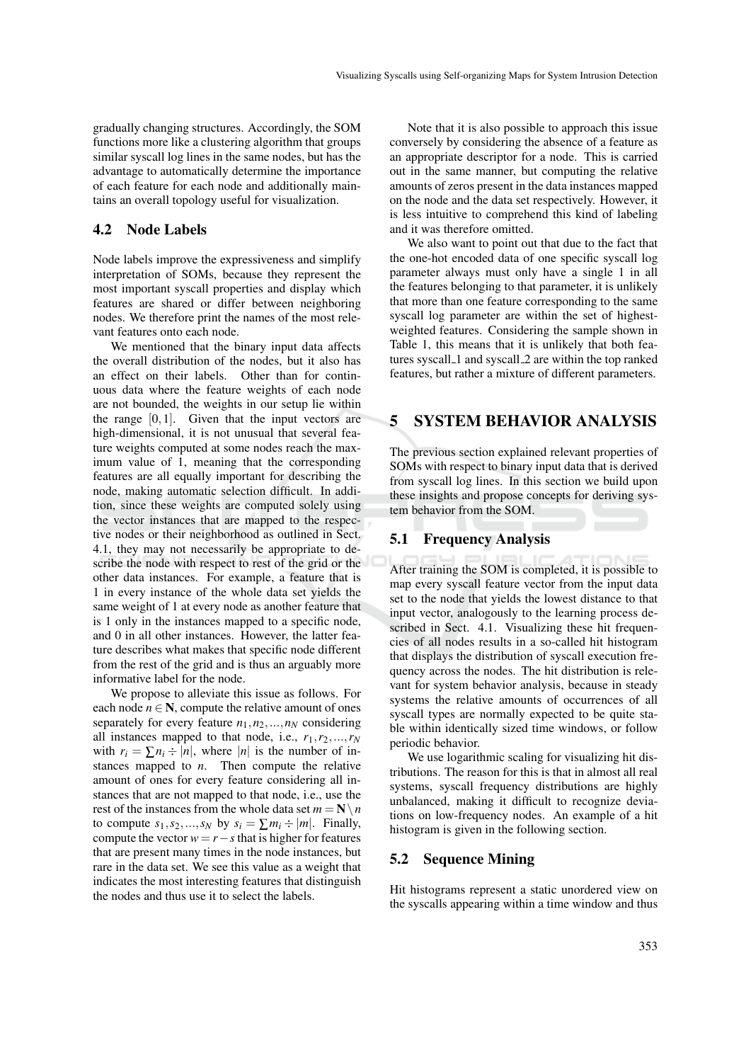gradually changing structures. Accordingly, the SOM functions more like a clustering algorithm that groups similar syscall log lines in the same nodes, but has the advantage to automatically determine the importance of each feature for each node and additionally maintains an overall topology useful for visualization.

#### 4.2 Node Labels

Node labels improve the expressiveness and simplify interpretation of SOMs, because they represent the most important syscall properties and display which features are shared or differ between neighboring nodes. We therefore print the names of the most relevant features onto each node.

We mentioned that the binary input data affects the overall distribution of the nodes, but it also has an effect on their labels. Other than for continuous data where the feature weights of each node are not bounded, the weights in our setup lie within the range  $[0,1]$ . Given that the input vectors are high-dimensional, it is not unusual that several feature weights computed at some nodes reach the maximum value of 1, meaning that the corresponding features are all equally important for describing the node, making automatic selection difficult. In addition, since these weights are computed solely using the vector instances that are mapped to the respective nodes or their neighborhood as outlined in Sect. 4.1, they may not necessarily be appropriate to describe the node with respect to rest of the grid or the other data instances. For example, a feature that is 1 in every instance of the whole data set yields the same weight of 1 at every node as another feature that is 1 only in the instances mapped to a specific node, and 0 in all other instances. However, the latter feature describes what makes that specific node different from the rest of the grid and is thus an arguably more informative label for the node.

We propose to alleviate this issue as follows. For each node  $n \in \mathbb{N}$ , compute the relative amount of ones separately for every feature  $n_1$ ,  $n_2$ , ...,  $n_N$  considering all instances mapped to that node, i.e.,  $r_1, r_2, \ldots, r_N$ with  $r_i = \sum n_i \div |n|$ , where |*n*| is the number of instances mapped to *n*. Then compute the relative amount of ones for every feature considering all instances that are not mapped to that node, i.e., use the rest of the instances from the whole data set  $m = N \setminus n$ to compute  $s_1, s_2, ..., s_N$  by  $s_i = \sum m_i \div |m|$ . Finally, compute the vector  $w = r - s$  that is higher for features that are present many times in the node instances, but rare in the data set. We see this value as a weight that indicates the most interesting features that distinguish the nodes and thus use it to select the labels.

Note that it is also possible to approach this issue conversely by considering the absence of a feature as an appropriate descriptor for a node. This is carried out in the same manner, but computing the relative amounts of zeros present in the data instances mapped on the node and the data set respectively. However, it is less intuitive to comprehend this kind of labeling and it was therefore omitted.

We also want to point out that due to the fact that the one-hot encoded data of one specific syscall log parameter always must only have a single 1 in all the features belonging to that parameter, it is unlikely that more than one feature corresponding to the same syscall log parameter are within the set of highestweighted features. Considering the sample shown in Table 1, this means that it is unlikely that both features syscall\_1 and syscall\_2 are within the top ranked features, but rather a mixture of different parameters.

## 5 SYSTEM BEHAVIOR ANALYSIS

The previous section explained relevant properties of SOMs with respect to binary input data that is derived from syscall log lines. In this section we build upon these insights and propose concepts for deriving system behavior from the SOM.

#### 5.1 Frequency Analysis

After training the SOM is completed, it is possible to map every syscall feature vector from the input data set to the node that yields the lowest distance to that input vector, analogously to the learning process described in Sect. 4.1. Visualizing these hit frequencies of all nodes results in a so-called hit histogram that displays the distribution of syscall execution frequency across the nodes. The hit distribution is relevant for system behavior analysis, because in steady systems the relative amounts of occurrences of all syscall types are normally expected to be quite stable within identically sized time windows, or follow periodic behavior.

We use logarithmic scaling for visualizing hit distributions. The reason for this is that in almost all real systems, syscall frequency distributions are highly unbalanced, making it difficult to recognize deviations on low-frequency nodes. An example of a hit histogram is given in the following section.

#### 5.2 Sequence Mining

Hit histograms represent a static unordered view on the syscalls appearing within a time window and thus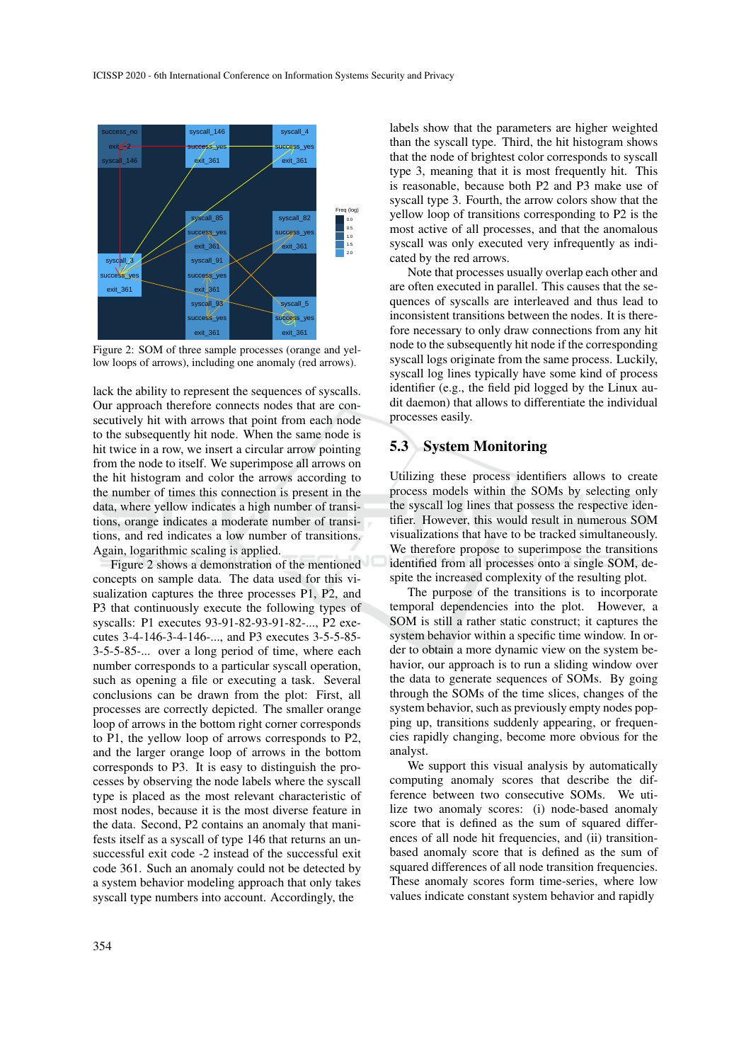

Figure 2: SOM of three sample processes (orange and yellow loops of arrows), including one anomaly (red arrows).

lack the ability to represent the sequences of syscalls. Our approach therefore connects nodes that are consecutively hit with arrows that point from each node to the subsequently hit node. When the same node is hit twice in a row, we insert a circular arrow pointing from the node to itself. We superimpose all arrows on the hit histogram and color the arrows according to the number of times this connection is present in the data, where yellow indicates a high number of transitions, orange indicates a moderate number of transitions, and red indicates a low number of transitions. Again, logarithmic scaling is applied.

Figure 2 shows a demonstration of the mentioned concepts on sample data. The data used for this visualization captures the three processes P1, P2, and P3 that continuously execute the following types of syscalls: P1 executes 93-91-82-93-91-82-..., P2 executes 3-4-146-3-4-146-..., and P3 executes 3-5-5-85- 3-5-5-85-... over a long period of time, where each number corresponds to a particular syscall operation, such as opening a file or executing a task. Several conclusions can be drawn from the plot: First, all processes are correctly depicted. The smaller orange loop of arrows in the bottom right corner corresponds to P1, the yellow loop of arrows corresponds to P2, and the larger orange loop of arrows in the bottom corresponds to P3. It is easy to distinguish the processes by observing the node labels where the syscall type is placed as the most relevant characteristic of most nodes, because it is the most diverse feature in the data. Second, P2 contains an anomaly that manifests itself as a syscall of type 146 that returns an unsuccessful exit code -2 instead of the successful exit code 361. Such an anomaly could not be detected by a system behavior modeling approach that only takes syscall type numbers into account. Accordingly, the

labels show that the parameters are higher weighted than the syscall type. Third, the hit histogram shows that the node of brightest color corresponds to syscall type 3, meaning that it is most frequently hit. This is reasonable, because both P2 and P3 make use of syscall type 3. Fourth, the arrow colors show that the yellow loop of transitions corresponding to P2 is the most active of all processes, and that the anomalous syscall was only executed very infrequently as indicated by the red arrows.

Note that processes usually overlap each other and are often executed in parallel. This causes that the sequences of syscalls are interleaved and thus lead to inconsistent transitions between the nodes. It is therefore necessary to only draw connections from any hit node to the subsequently hit node if the corresponding syscall logs originate from the same process. Luckily, syscall log lines typically have some kind of process identifier (e.g., the field pid logged by the Linux audit daemon) that allows to differentiate the individual processes easily.

#### 5.3 System Monitoring

Utilizing these process identifiers allows to create process models within the SOMs by selecting only the syscall log lines that possess the respective identifier. However, this would result in numerous SOM visualizations that have to be tracked simultaneously. We therefore propose to superimpose the transitions identified from all processes onto a single SOM, despite the increased complexity of the resulting plot.

The purpose of the transitions is to incorporate temporal dependencies into the plot. However, a SOM is still a rather static construct; it captures the system behavior within a specific time window. In order to obtain a more dynamic view on the system behavior, our approach is to run a sliding window over the data to generate sequences of SOMs. By going through the SOMs of the time slices, changes of the system behavior, such as previously empty nodes popping up, transitions suddenly appearing, or frequencies rapidly changing, become more obvious for the analyst.

We support this visual analysis by automatically computing anomaly scores that describe the difference between two consecutive SOMs. We utilize two anomaly scores: (i) node-based anomaly score that is defined as the sum of squared differences of all node hit frequencies, and (ii) transitionbased anomaly score that is defined as the sum of squared differences of all node transition frequencies. These anomaly scores form time-series, where low values indicate constant system behavior and rapidly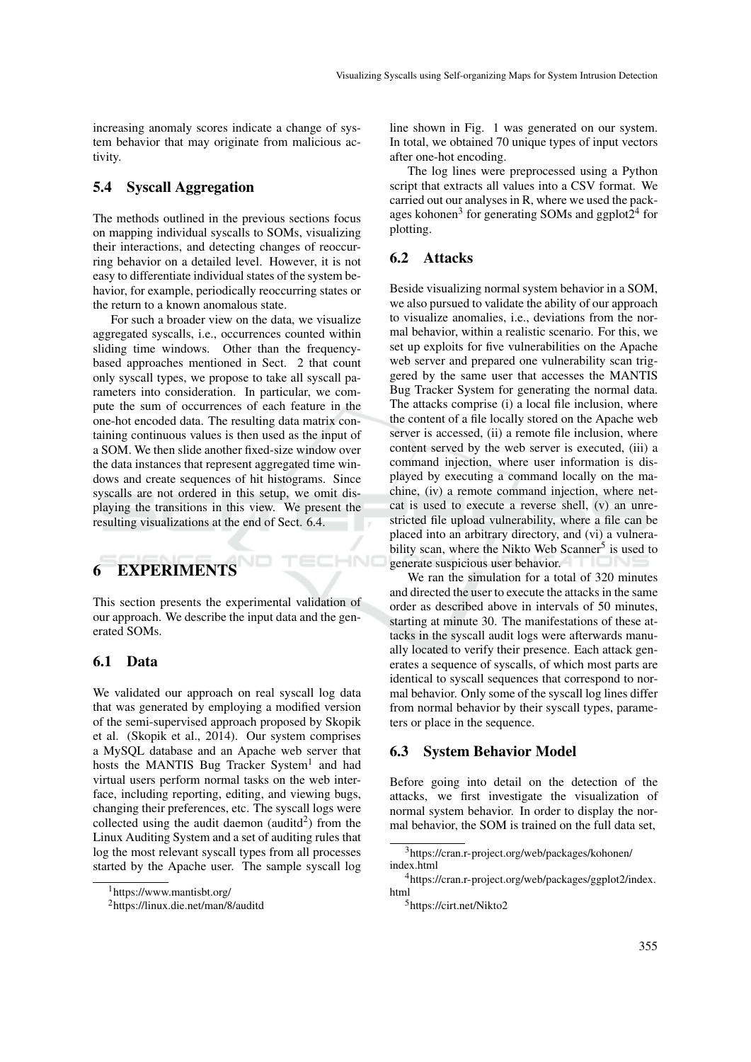increasing anomaly scores indicate a change of system behavior that may originate from malicious activity.

#### 5.4 Syscall Aggregation

The methods outlined in the previous sections focus on mapping individual syscalls to SOMs, visualizing their interactions, and detecting changes of reoccurring behavior on a detailed level. However, it is not easy to differentiate individual states of the system behavior, for example, periodically reoccurring states or the return to a known anomalous state.

For such a broader view on the data, we visualize aggregated syscalls, i.e., occurrences counted within sliding time windows. Other than the frequencybased approaches mentioned in Sect. 2 that count only syscall types, we propose to take all syscall parameters into consideration. In particular, we compute the sum of occurrences of each feature in the one-hot encoded data. The resulting data matrix containing continuous values is then used as the input of a SOM. We then slide another fixed-size window over the data instances that represent aggregated time windows and create sequences of hit histograms. Since syscalls are not ordered in this setup, we omit displaying the transitions in this view. We present the resulting visualizations at the end of Sect. 6.4.

# 6 EXPERIMENTS

This section presents the experimental validation of our approach. We describe the input data and the generated SOMs.

#### 6.1 Data

We validated our approach on real syscall log data that was generated by employing a modified version of the semi-supervised approach proposed by Skopik et al. (Skopik et al., 2014). Our system comprises a MySQL database and an Apache web server that hosts the MANTIS Bug Tracker System<sup>1</sup> and had virtual users perform normal tasks on the web interface, including reporting, editing, and viewing bugs, changing their preferences, etc. The syscall logs were collected using the audit daemon (auditd<sup>2</sup>) from the Linux Auditing System and a set of auditing rules that log the most relevant syscall types from all processes started by the Apache user. The sample syscall log line shown in Fig. 1 was generated on our system. In total, we obtained 70 unique types of input vectors after one-hot encoding.

The log lines were preprocessed using a Python script that extracts all values into a CSV format. We carried out our analyses in R, where we used the packages kohonen<sup>3</sup> for generating SOMs and ggplot2<sup>4</sup> for plotting.

#### 6.2 Attacks

**HN** 

Beside visualizing normal system behavior in a SOM, we also pursued to validate the ability of our approach to visualize anomalies, i.e., deviations from the normal behavior, within a realistic scenario. For this, we set up exploits for five vulnerabilities on the Apache web server and prepared one vulnerability scan triggered by the same user that accesses the MANTIS Bug Tracker System for generating the normal data. The attacks comprise (i) a local file inclusion, where the content of a file locally stored on the Apache web server is accessed, (ii) a remote file inclusion, where content served by the web server is executed, (iii) a command injection, where user information is displayed by executing a command locally on the machine, (iv) a remote command injection, where netcat is used to execute a reverse shell, (v) an unrestricted file upload vulnerability, where a file can be placed into an arbitrary directory, and (vi) a vulnerability scan, where the Nikto Web Scanner<sup>5</sup> is used to generate suspicious user behavior.

We ran the simulation for a total of 320 minutes and directed the user to execute the attacks in the same order as described above in intervals of 50 minutes, starting at minute 30. The manifestations of these attacks in the syscall audit logs were afterwards manually located to verify their presence. Each attack generates a sequence of syscalls, of which most parts are identical to syscall sequences that correspond to normal behavior. Only some of the syscall log lines differ from normal behavior by their syscall types, parameters or place in the sequence.

#### 6.3 System Behavior Model

Before going into detail on the detection of the attacks, we first investigate the visualization of normal system behavior. In order to display the normal behavior, the SOM is trained on the full data set,

<sup>1</sup>https://www.mantisbt.org/

<sup>2</sup>https://linux.die.net/man/8/auditd

<sup>3</sup>https://cran.r-project.org/web/packages/kohonen/ index.html

<sup>4</sup>https://cran.r-project.org/web/packages/ggplot2/index. html

<sup>5</sup>https://cirt.net/Nikto2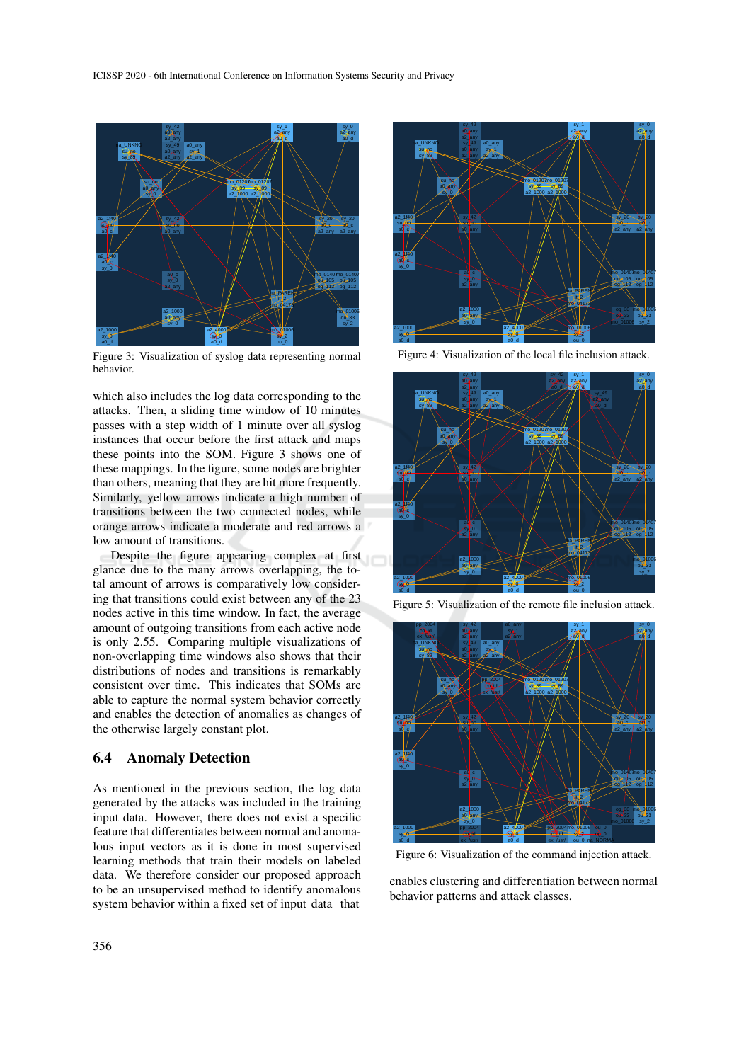

Figure 3: Visualization of syslog data representing normal behavior.

which also includes the log data corresponding to the attacks. Then, a sliding time window of 10 minutes passes with a step width of 1 minute over all syslog instances that occur before the first attack and maps these points into the SOM. Figure 3 shows one of these mappings. In the figure, some nodes are brighter than others, meaning that they are hit more frequently. Similarly, yellow arrows indicate a high number of transitions between the two connected nodes, while orange arrows indicate a moderate and red arrows a low amount of transitions.

Despite the figure appearing complex at first glance due to the many arrows overlapping, the total amount of arrows is comparatively low considering that transitions could exist between any of the 23 nodes active in this time window. In fact, the average amount of outgoing transitions from each active node is only 2.55. Comparing multiple visualizations of non-overlapping time windows also shows that their distributions of nodes and transitions is remarkably consistent over time. This indicates that SOMs are able to capture the normal system behavior correctly and enables the detection of anomalies as changes of the otherwise largely constant plot.

#### 6.4 Anomaly Detection

As mentioned in the previous section, the log data generated by the attacks was included in the training input data. However, there does not exist a specific feature that differentiates between normal and anomalous input vectors as it is done in most supervised learning methods that train their models on labeled data. We therefore consider our proposed approach to be an unsupervised method to identify anomalous system behavior within a fixed set of input data that



Figure 4: Visualization of the local file inclusion attack.



Figure 5: Visualization of the remote file inclusion attack.



Figure 6: Visualization of the command injection attack.

enables clustering and differentiation between normal behavior patterns and attack classes.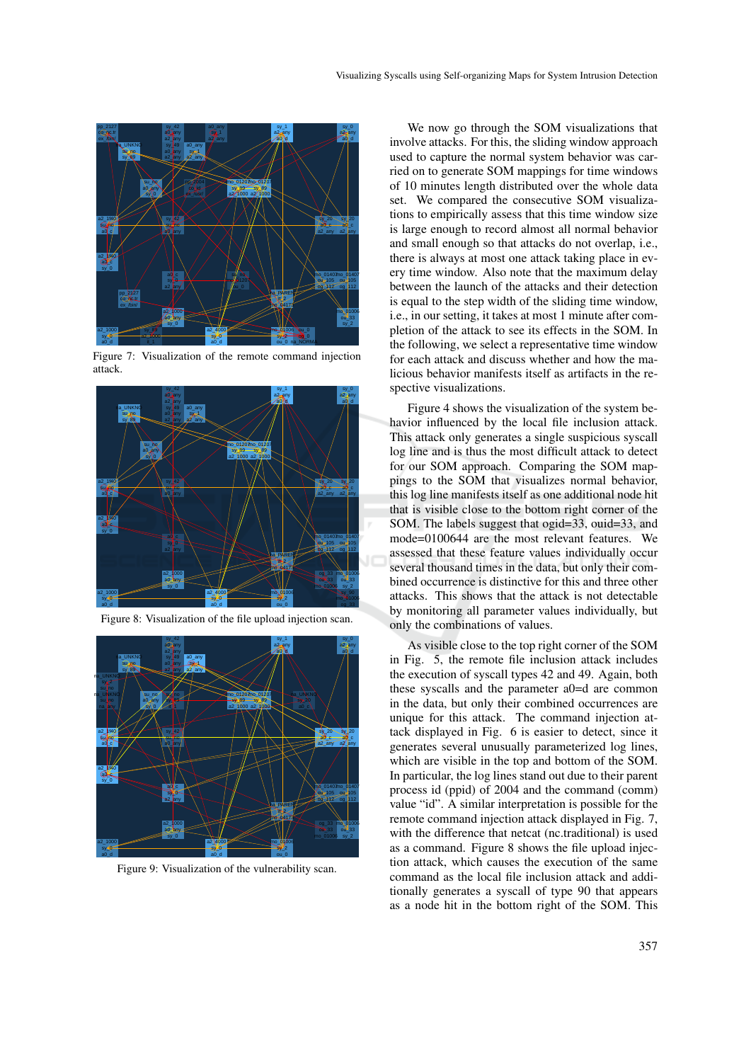

Figure 7: Visualization of the remote command injection attack.



Figure 8: Visualization of the file upload injection scan.



Figure 9: Visualization of the vulnerability scan.

We now go through the SOM visualizations that involve attacks. For this, the sliding window approach used to capture the normal system behavior was carried on to generate SOM mappings for time windows of 10 minutes length distributed over the whole data set. We compared the consecutive SOM visualizations to empirically assess that this time window size is large enough to record almost all normal behavior and small enough so that attacks do not overlap, i.e., there is always at most one attack taking place in every time window. Also note that the maximum delay between the launch of the attacks and their detection is equal to the step width of the sliding time window, i.e., in our setting, it takes at most 1 minute after completion of the attack to see its effects in the SOM. In the following, we select a representative time window for each attack and discuss whether and how the malicious behavior manifests itself as artifacts in the respective visualizations.

Figure 4 shows the visualization of the system behavior influenced by the local file inclusion attack. This attack only generates a single suspicious syscall log line and is thus the most difficult attack to detect for our SOM approach. Comparing the SOM mappings to the SOM that visualizes normal behavior, this log line manifests itself as one additional node hit that is visible close to the bottom right corner of the SOM. The labels suggest that ogid=33, ouid=33, and mode=0100644 are the most relevant features. We assessed that these feature values individually occur several thousand times in the data, but only their combined occurrence is distinctive for this and three other attacks. This shows that the attack is not detectable by monitoring all parameter values individually, but only the combinations of values.

As visible close to the top right corner of the SOM in Fig. 5, the remote file inclusion attack includes the execution of syscall types 42 and 49. Again, both these syscalls and the parameter a0=d are common in the data, but only their combined occurrences are unique for this attack. The command injection attack displayed in Fig. 6 is easier to detect, since it generates several unusually parameterized log lines, which are visible in the top and bottom of the SOM. In particular, the log lines stand out due to their parent process id (ppid) of 2004 and the command (comm) value "id". A similar interpretation is possible for the remote command injection attack displayed in Fig. 7, with the difference that netcat (nc.traditional) is used as a command. Figure 8 shows the file upload injection attack, which causes the execution of the same command as the local file inclusion attack and additionally generates a syscall of type 90 that appears as a node hit in the bottom right of the SOM. This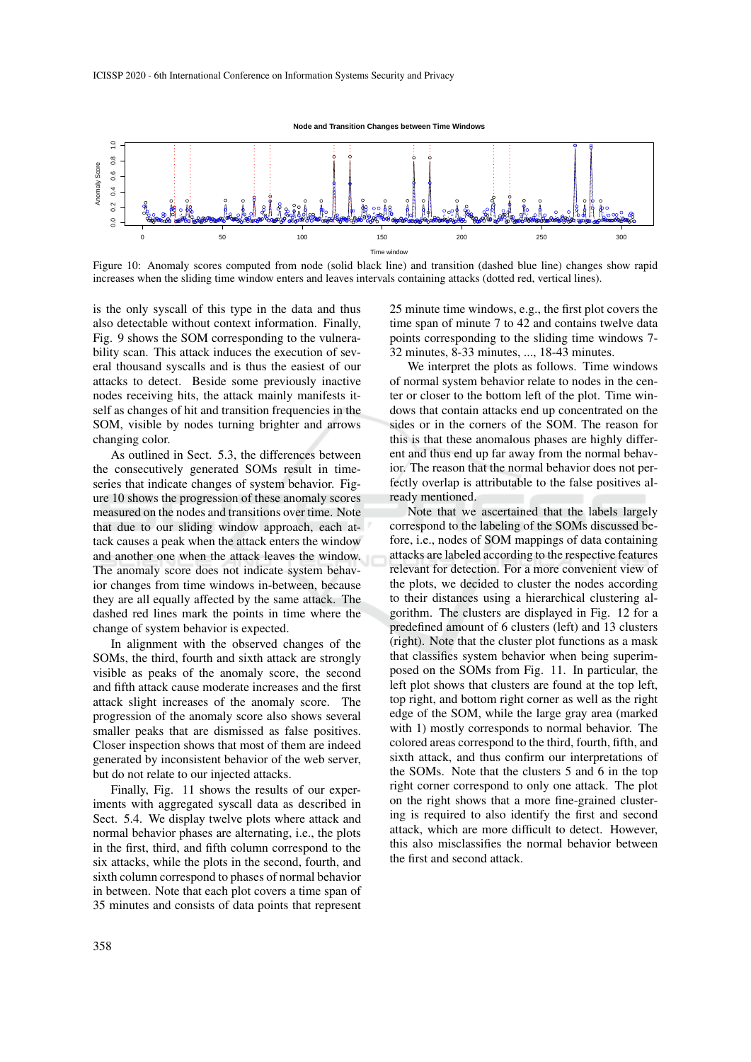

Figure 10: Anomaly scores computed from node (solid black line) and transition (dashed blue line) changes show rapid increases when the sliding time window enters and leaves intervals containing attacks (dotted red, vertical lines).

is the only syscall of this type in the data and thus also detectable without context information. Finally, Fig. 9 shows the SOM corresponding to the vulnerability scan. This attack induces the execution of several thousand syscalls and is thus the easiest of our attacks to detect. Beside some previously inactive nodes receiving hits, the attack mainly manifests itself as changes of hit and transition frequencies in the SOM, visible by nodes turning brighter and arrows changing color.

As outlined in Sect. 5.3, the differences between the consecutively generated SOMs result in timeseries that indicate changes of system behavior. Figure 10 shows the progression of these anomaly scores measured on the nodes and transitions over time. Note that due to our sliding window approach, each attack causes a peak when the attack enters the window and another one when the attack leaves the window. The anomaly score does not indicate system behavior changes from time windows in-between, because they are all equally affected by the same attack. The dashed red lines mark the points in time where the change of system behavior is expected.

In alignment with the observed changes of the SOMs, the third, fourth and sixth attack are strongly visible as peaks of the anomaly score, the second and fifth attack cause moderate increases and the first attack slight increases of the anomaly score. The progression of the anomaly score also shows several smaller peaks that are dismissed as false positives. Closer inspection shows that most of them are indeed generated by inconsistent behavior of the web server, but do not relate to our injected attacks.

Finally, Fig. 11 shows the results of our experiments with aggregated syscall data as described in Sect. 5.4. We display twelve plots where attack and normal behavior phases are alternating, i.e., the plots in the first, third, and fifth column correspond to the six attacks, while the plots in the second, fourth, and sixth column correspond to phases of normal behavior in between. Note that each plot covers a time span of 35 minutes and consists of data points that represent 25 minute time windows, e.g., the first plot covers the time span of minute 7 to 42 and contains twelve data points corresponding to the sliding time windows 7- 32 minutes, 8-33 minutes, ..., 18-43 minutes.

We interpret the plots as follows. Time windows of normal system behavior relate to nodes in the center or closer to the bottom left of the plot. Time windows that contain attacks end up concentrated on the sides or in the corners of the SOM. The reason for this is that these anomalous phases are highly different and thus end up far away from the normal behavior. The reason that the normal behavior does not perfectly overlap is attributable to the false positives already mentioned.

Note that we ascertained that the labels largely correspond to the labeling of the SOMs discussed before, i.e., nodes of SOM mappings of data containing attacks are labeled according to the respective features relevant for detection. For a more convenient view of the plots, we decided to cluster the nodes according to their distances using a hierarchical clustering algorithm. The clusters are displayed in Fig. 12 for a predefined amount of 6 clusters (left) and 13 clusters (right). Note that the cluster plot functions as a mask that classifies system behavior when being superimposed on the SOMs from Fig. 11. In particular, the left plot shows that clusters are found at the top left, top right, and bottom right corner as well as the right edge of the SOM, while the large gray area (marked with 1) mostly corresponds to normal behavior. The colored areas correspond to the third, fourth, fifth, and sixth attack, and thus confirm our interpretations of the SOMs. Note that the clusters 5 and 6 in the top right corner correspond to only one attack. The plot on the right shows that a more fine-grained clustering is required to also identify the first and second attack, which are more difficult to detect. However, this also misclassifies the normal behavior between the first and second attack.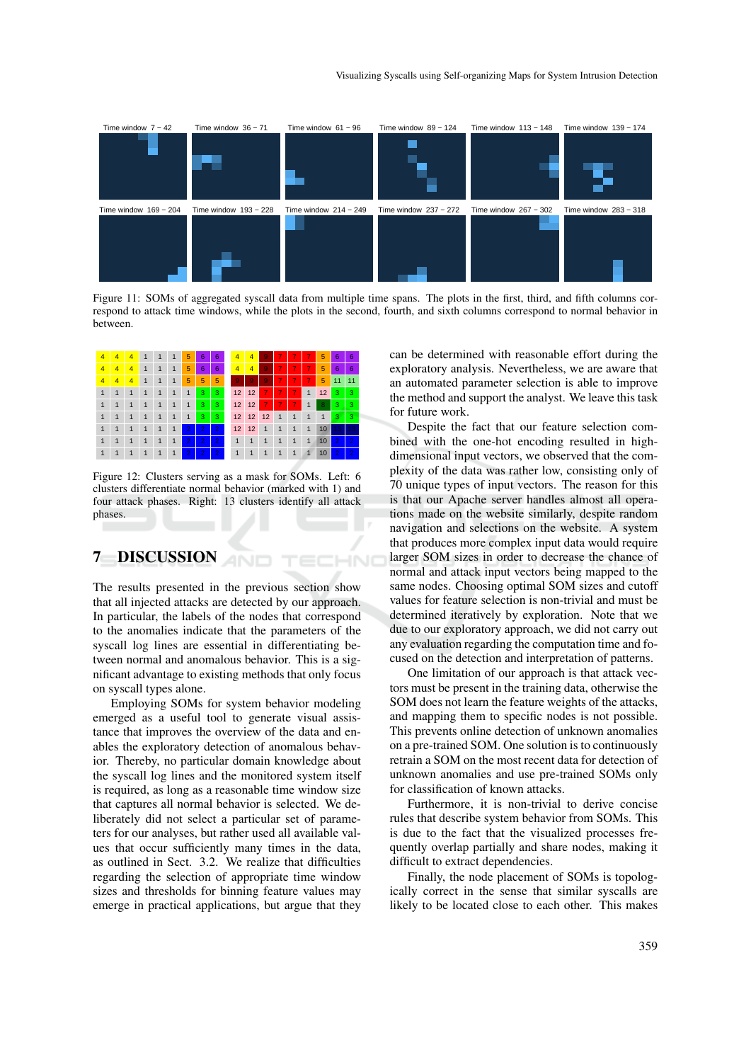

Figure 11: SOMs of aggregated syscall data from multiple time spans. The plots in the first, third, and fifth columns correspond to attack time windows, while the plots in the second, fourth, and sixth columns correspond to normal behavior in between.

ECHNO



Figure 12: Clusters serving as a mask for SOMs. Left: 6 clusters differentiate normal behavior (marked with 1) and four attack phases. Right: 13 clusters identify all attack phases.

## 7 DISCUSSION

The results presented in the previous section show that all injected attacks are detected by our approach. In particular, the labels of the nodes that correspond to the anomalies indicate that the parameters of the syscall log lines are essential in differentiating between normal and anomalous behavior. This is a significant advantage to existing methods that only focus on syscall types alone.

Employing SOMs for system behavior modeling emerged as a useful tool to generate visual assistance that improves the overview of the data and enables the exploratory detection of anomalous behavior. Thereby, no particular domain knowledge about the syscall log lines and the monitored system itself is required, as long as a reasonable time window size that captures all normal behavior is selected. We deliberately did not select a particular set of parameters for our analyses, but rather used all available values that occur sufficiently many times in the data, as outlined in Sect. 3.2. We realize that difficulties regarding the selection of appropriate time window sizes and thresholds for binning feature values may emerge in practical applications, but argue that they

can be determined with reasonable effort during the exploratory analysis. Nevertheless, we are aware that an automated parameter selection is able to improve the method and support the analyst. We leave this task for future work.

Despite the fact that our feature selection combined with the one-hot encoding resulted in highdimensional input vectors, we observed that the complexity of the data was rather low, consisting only of 70 unique types of input vectors. The reason for this is that our Apache server handles almost all operations made on the website similarly, despite random navigation and selections on the website. A system that produces more complex input data would require larger SOM sizes in order to decrease the chance of normal and attack input vectors being mapped to the same nodes. Choosing optimal SOM sizes and cutoff values for feature selection is non-trivial and must be determined iteratively by exploration. Note that we due to our exploratory approach, we did not carry out any evaluation regarding the computation time and focused on the detection and interpretation of patterns.

One limitation of our approach is that attack vectors must be present in the training data, otherwise the SOM does not learn the feature weights of the attacks, and mapping them to specific nodes is not possible. This prevents online detection of unknown anomalies on a pre-trained SOM. One solution is to continuously retrain a SOM on the most recent data for detection of unknown anomalies and use pre-trained SOMs only for classification of known attacks.

Furthermore, it is non-trivial to derive concise rules that describe system behavior from SOMs. This is due to the fact that the visualized processes frequently overlap partially and share nodes, making it difficult to extract dependencies.

Finally, the node placement of SOMs is topologically correct in the sense that similar syscalls are likely to be located close to each other. This makes